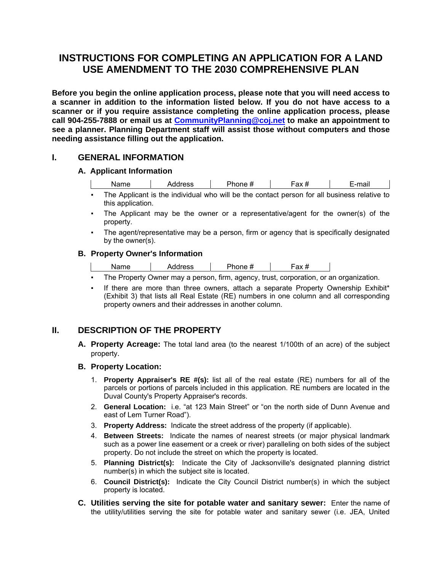# **INSTRUCTIONS FOR COMPLETING AN APPLICATION FOR A LAND USE AMENDMENT TO THE 2030 COMPREHENSIVE PLAN**

**Before you begin the online application process, please note that you will need access to a scanner in addition to the information listed below. If you do not have access to a scanner or if you require assistance completing the online application process, please call 904-255-7888 or email us at CommunityPlanning@coj.net to make an appointment to see a planner. Planning Department staff will assist those without computers and those needing assistance filling out the application.** 

### **I. GENERAL INFORMATION**

### **A. Applicant Information**

| $\cdots$<br>Na.<br>varne | ess | .<br>יי שו | ι α∧ <del>π</del> | $-1$<br>∟−⊔uali |  |
|--------------------------|-----|------------|-------------------|-----------------|--|
|                          |     |            |                   |                 |  |

▪ The Applicant is the individual who will be the contact person for all business relative to this application.

- The Applicant may be the owner or a representative/agent for the owner(s) of the property.
- The agent/representative may be a person, firm or agency that is specifically designated by the owner(s).

### **B. Property Owner's Information**

| Name | Address | Phone # | -ах # |
|------|---------|---------|-------|
|      |         |         |       |

- The Property Owner may a person, firm, agency, trust, corporation, or an organization.
- If there are more than three owners, attach a separate Property Ownership Exhibit\* (Exhibit 3) that lists all Real Estate (RE) numbers in one column and all corresponding property owners and their addresses in another column.

## **II. DESCRIPTION OF THE PROPERTY**

**A. Property Acreage:** The total land area (to the nearest 1/100th of an acre) of the subject property.

#### **B. Property Location:**

- 1. **Property Appraiser's RE #(s):** list all of the real estate (RE) numbers for all of the parcels or portions of parcels included in this application. RE numbers are located in the Duval County's Property Appraiser's records.
- 2. **General Location:** i.e. "at 123 Main Street" or "on the north side of Dunn Avenue and east of Lem Turner Road").
- 3. **Property Address:** Indicate the street address of the property (if applicable).
- 4. **Between Streets:** Indicate the names of nearest streets (or major physical landmark such as a power line easement or a creek or river) paralleling on both sides of the subject property. Do not include the street on which the property is located.
- 5. **Planning District(s):** Indicate the City of Jacksonville's designated planning district number(s) in which the subject site is located.
- 6. **Council District(s):** Indicate the City Council District number(s) in which the subject property is located.
- **C. Utilities serving the site for potable water and sanitary sewer:** Enter the name of the utility/utilities serving the site for potable water and sanitary sewer (i.e. JEA, United